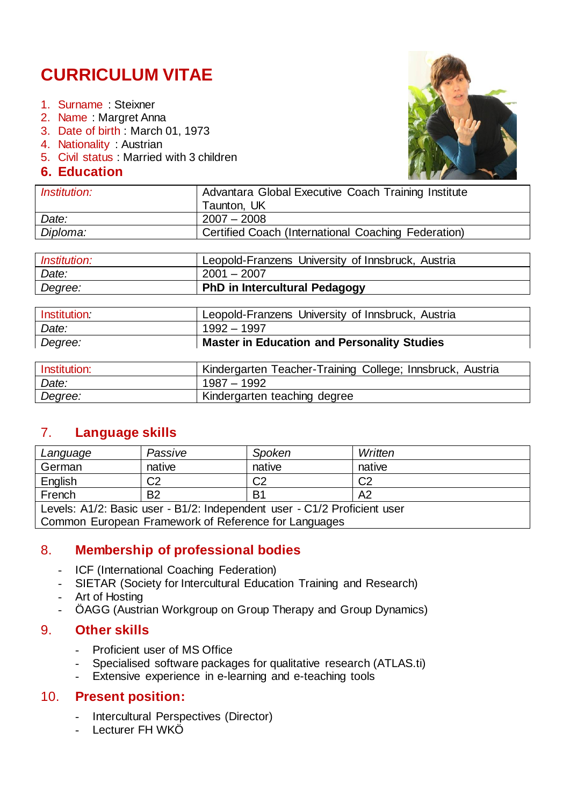## **CURRICULUM VITAE**

- 1. Surname : Steixner
- 2. Name : Margret Anna
- 3. Date of birth : March 01, 1973
- 4. Nationality : Austrian
- 5. Civil status : Married with 3 children
- **6. Education**



| <i>Institution:</i> | Advantara Global Executive Coach Training Institute |
|---------------------|-----------------------------------------------------|
|                     | Taunton, UK                                         |
| Date:               | $2007 - 2008$                                       |
| Diploma:            | Certified Coach (International Coaching Federation) |
|                     |                                                     |

| <i>Institution:</i> | Leopold-Franzens University of Innsbruck, Austria |
|---------------------|---------------------------------------------------|
| Date:               | $2001 - 2007$                                     |
| Degree:             | <b>PhD in Intercultural Pedagogy</b>              |
|                     |                                                   |

| <b>Institution</b> | Leopold-Franzens University of Innsbruck, Austria  |
|--------------------|----------------------------------------------------|
| Date:              | $1992 - 1997$                                      |
| Degree:            | <b>Master in Education and Personality Studies</b> |

| Institution: | Kindergarten Teacher-Training College; Innsbruck, Austria |
|--------------|-----------------------------------------------------------|
| Date:        | $1987 - 1992$                                             |
| Degree:      | Kindergarten teaching degree                              |

#### 7. **Language skills**

| Language                                                                 | Passive        | Spoken | Written        |
|--------------------------------------------------------------------------|----------------|--------|----------------|
| German                                                                   | native         | native | native         |
| English                                                                  | C2             | C2     | C <sub>2</sub> |
| French                                                                   | B <sub>2</sub> | B1     | A <sub>2</sub> |
| Levels: A1/2: Basic user - B1/2: Independent user - C1/2 Proficient user |                |        |                |
| Common European Framework of Reference for Languages                     |                |        |                |

#### 8. **Membership of professional bodies**

- ICF (International Coaching Federation)
- SIETAR (Society for Intercultural Education Training and Research)
- Art of Hosting
- ÖAGG (Austrian Workgroup on Group Therapy and Group Dynamics)

#### 9. **Other skills**

- Proficient user of MS Office
- Specialised software packages for qualitative research (ATLAS.ti)
- Extensive experience in e-learning and e-teaching tools

#### 10. **Present position:**

- Intercultural Perspectives (Director)
- Lecturer FH WKÖ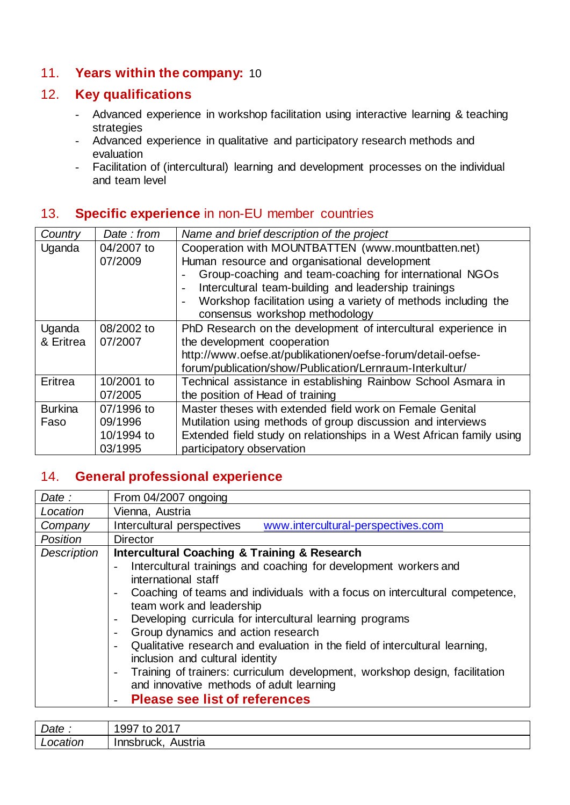#### 11. **Years within the company:** 10

#### 12. **Key qualifications**

- Advanced experience in workshop facilitation using interactive learning & teaching strategies
- Advanced experience in qualitative and participatory research methods and evaluation
- Facilitation of (intercultural) learning and development processes on the individual and team level

#### 13. **Specific experience** in non-EU member countries

| Country        | Date: from | Name and brief description of the project                                                  |
|----------------|------------|--------------------------------------------------------------------------------------------|
| Uganda         | 04/2007 to | Cooperation with MOUNTBATTEN (www.mountbatten.net)                                         |
|                | 07/2009    | Human resource and organisational development                                              |
|                |            | Group-coaching and team-coaching for international NGOs                                    |
|                |            | Intercultural team-building and leadership trainings                                       |
|                |            | Workshop facilitation using a variety of methods including the<br>$\overline{\phantom{a}}$ |
|                |            | consensus workshop methodology                                                             |
| Uganda         | 08/2002 to | PhD Research on the development of intercultural experience in                             |
| & Eritrea      | 07/2007    | the development cooperation                                                                |
|                |            | http://www.oefse.at/publikationen/oefse-forum/detail-oefse-                                |
|                |            | forum/publication/show/Publication/Lernraum-Interkultur/                                   |
| Eritrea        | 10/2001 to | Technical assistance in establishing Rainbow School Asmara in                              |
|                | 07/2005    | the position of Head of training                                                           |
| <b>Burkina</b> | 07/1996 to | Master theses with extended field work on Female Genital                                   |
| Faso           | 09/1996    | Mutilation using methods of group discussion and interviews                                |
|                | 10/1994 to | Extended field study on relationships in a West African family using                       |
|                | 03/1995    | participatory observation                                                                  |

#### 14. **General professional experience**

| Date:       | From 04/2007 ongoing                                                                                                                                                                                                                                                                                                                                                                                                                                                                                                                                                                                                                              |
|-------------|---------------------------------------------------------------------------------------------------------------------------------------------------------------------------------------------------------------------------------------------------------------------------------------------------------------------------------------------------------------------------------------------------------------------------------------------------------------------------------------------------------------------------------------------------------------------------------------------------------------------------------------------------|
| Location    | Vienna, Austria                                                                                                                                                                                                                                                                                                                                                                                                                                                                                                                                                                                                                                   |
| Company     | Intercultural perspectives<br>www.intercultural-perspectives.com                                                                                                                                                                                                                                                                                                                                                                                                                                                                                                                                                                                  |
| Position    | <b>Director</b>                                                                                                                                                                                                                                                                                                                                                                                                                                                                                                                                                                                                                                   |
| Description | <b>Intercultural Coaching &amp; Training &amp; Research</b>                                                                                                                                                                                                                                                                                                                                                                                                                                                                                                                                                                                       |
|             | Intercultural trainings and coaching for development workers and<br>international staff<br>Coaching of teams and individuals with a focus on intercultural competence,<br>team work and leadership<br>Developing curricula for intercultural learning programs<br>Group dynamics and action research<br>$\overline{\phantom{a}}$<br>Qualitative research and evaluation in the field of intercultural learning,<br>inclusion and cultural identity<br>Training of trainers: curriculum development, workshop design, facilitation<br>$\overline{\phantom{a}}$<br>and innovative methods of adult learning<br><b>Please see list of references</b> |

| Date:    | . 2017<br>1997<br>$^{\rm th}$<br>⋯∠∪⋯ |
|----------|---------------------------------------|
| Location | Austria<br>Innsbruck,                 |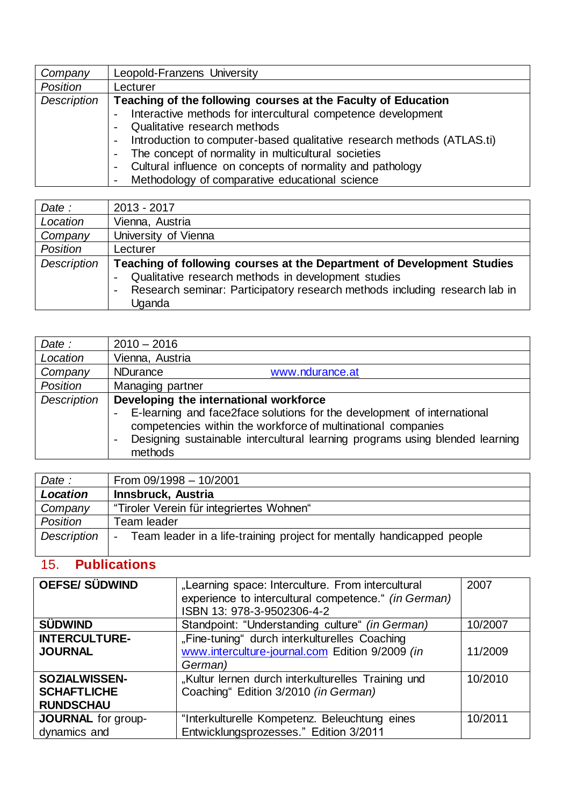| Company     | Leopold-Franzens University                                                                        |
|-------------|----------------------------------------------------------------------------------------------------|
| Position    | Lecturer                                                                                           |
| Description | Teaching of the following courses at the Faculty of Education                                      |
|             | Interactive methods for intercultural competence development                                       |
|             | Qualitative research methods                                                                       |
|             | Introduction to computer-based qualitative research methods (ATLAS.ti)<br>$\overline{\phantom{a}}$ |
|             | The concept of normality in multicultural societies                                                |
|             | Cultural influence on concepts of normality and pathology<br>$\overline{\phantom{0}}$              |
|             | Methodology of comparative educational science                                                     |

| Date:       | 2013 - 2017                                                                |
|-------------|----------------------------------------------------------------------------|
| Location    | Vienna, Austria                                                            |
| Company     | University of Vienna                                                       |
| Position    | Lecturer                                                                   |
| Description | Teaching of following courses at the Department of Development Studies     |
|             | Qualitative research methods in development studies                        |
|             | Research seminar: Participatory research methods including research lab in |
|             | Uganda                                                                     |

| Date:       | $2010 - 2016$                                                                                                                                                                                                                      |
|-------------|------------------------------------------------------------------------------------------------------------------------------------------------------------------------------------------------------------------------------------|
| Location    | Vienna, Austria                                                                                                                                                                                                                    |
| Company     | <b>NDurance</b><br>www.ndurance.at                                                                                                                                                                                                 |
| Position    | Managing partner                                                                                                                                                                                                                   |
| Description | Developing the international workforce                                                                                                                                                                                             |
|             | E-learning and face2face solutions for the development of international<br>competencies within the workforce of multinational companies<br>Designing sustainable intercultural learning programs using blended learning<br>methods |

| Date :      | From 09/1998 - 10/2001                                                 |
|-------------|------------------------------------------------------------------------|
| Location    | <b>Innsbruck, Austria</b>                                              |
| Company     | "Tiroler Verein für integriertes Wohnen"                               |
| Position    | Team leader                                                            |
| Description | Team leader in a life-training project for mentally handicapped people |

# 15. **Publications**

| <b>OEFSE/SÜDWIND</b>                                           | "Learning space: Interculture. From intercultural<br>experience to intercultural competence." (in German)<br>ISBN 13: 978-3-9502306-4-2 | 2007    |
|----------------------------------------------------------------|-----------------------------------------------------------------------------------------------------------------------------------------|---------|
| <b>SÜDWIND</b>                                                 | Standpoint: "Understanding culture" (in German)                                                                                         | 10/2007 |
| <b>INTERCULTURE-</b><br><b>JOURNAL</b>                         | "Fine-tuning" durch interkulturelles Coaching<br>www.interculture-journal.com Edition 9/2009 (in<br>German)                             | 11/2009 |
| <b>SOZIALWISSEN-</b><br><b>SCHAFTLICHE</b><br><b>RUNDSCHAU</b> | "Kultur lernen durch interkulturelles Training und<br>Coaching" Edition 3/2010 (in German)                                              | 10/2010 |
| JOURNAL for group-<br>dynamics and                             | "Interkulturelle Kompetenz. Beleuchtung eines<br>Entwicklungsprozesses." Edition 3/2011                                                 | 10/2011 |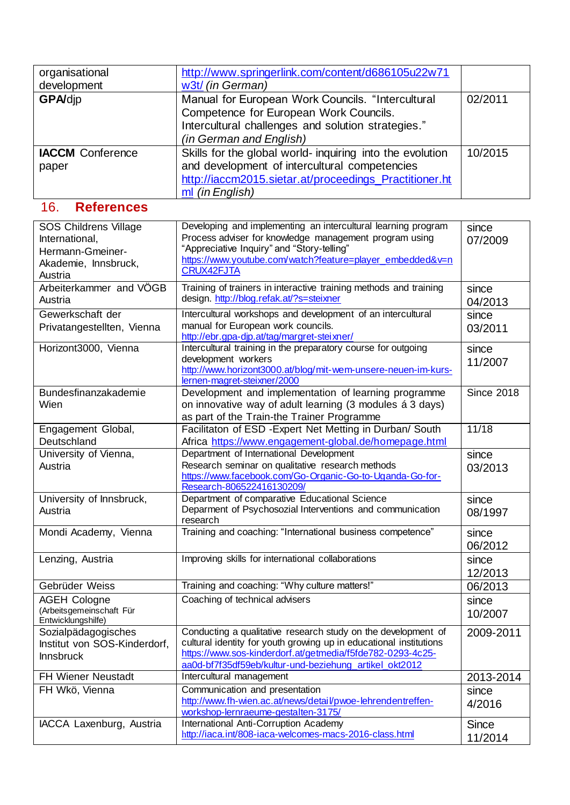| organisational          | http://www.springerlink.com/content/d686105u22w71         |         |
|-------------------------|-----------------------------------------------------------|---------|
| development             | w3t/ (in German)                                          |         |
| <b>GPA/dip</b>          | Manual for European Work Councils. "Intercultural         | 02/2011 |
|                         | Competence for European Work Councils.                    |         |
|                         | Intercultural challenges and solution strategies."        |         |
|                         | (in German and English)                                   |         |
| <b>IACCM</b> Conference | Skills for the global world- inquiring into the evolution | 10/2015 |
| paper                   | and development of intercultural competencies             |         |
|                         | http://iaccm2015.sietar.at/proceedings_Practitioner.ht    |         |
|                         | ml (in English)                                           |         |

### 16. **References**

| <b>SOS Childrens Village</b><br>International,<br>Hermann-Gmeiner-<br>Akademie, Innsbruck,<br>Austria | Developing and implementing an intercultural learning program<br>Process adviser for knowledge management program using<br>"Appreciative Inquiry" and "Story-telling"<br>https://www.youtube.com/watch?feature=player_embedded&v=n<br><b>CRUX42FJTA</b>     | since<br>07/2009        |
|-------------------------------------------------------------------------------------------------------|-------------------------------------------------------------------------------------------------------------------------------------------------------------------------------------------------------------------------------------------------------------|-------------------------|
| Arbeiterkammer and VÖGB<br>Austria                                                                    | Training of trainers in interactive training methods and training<br>design. http://blog.refak.at/?s=steixner                                                                                                                                               | since<br>04/2013        |
| Gewerkschaft der<br>Privatangestellten, Vienna                                                        | Intercultural workshops and development of an intercultural<br>manual for European work councils.<br>http://ebr.gpa-djp.at/tag/margret-steixner/                                                                                                            | since<br>03/2011        |
| Horizont3000, Vienna                                                                                  | Intercultural training in the preparatory course for outgoing<br>development workers<br>http://www.horizont3000.at/blog/mit-wem-unsere-neuen-im-kurs-<br>lernen-magret-steixner/2000                                                                        | since<br>11/2007        |
| Bundesfinanzakademie<br>Wien                                                                          | Development and implementation of learning programme<br>on innovative way of adult learning (3 modules á 3 days)<br>as part of the Train-the Trainer Programme                                                                                              | <b>Since 2018</b>       |
| Engagement Global,<br>Deutschland                                                                     | Facilitaton of ESD - Expert Net Metting in Durban/ South<br>Africa https://www.engagement-global.de/homepage.html                                                                                                                                           | 11/18                   |
| University of Vienna,<br>Austria                                                                      | Department of International Development<br>Research seminar on qualitative research methods<br>https://www.facebook.com/Go-Organic-Go-to-Uganda-Go-for-<br>Research-806522416130209/                                                                        | since<br>03/2013        |
| University of Innsbruck,<br>Austria                                                                   | Department of comparative Educational Science<br>Deparment of Psychosozial Interventions and communication<br>research                                                                                                                                      | since<br>08/1997        |
| Mondi Academy, Vienna                                                                                 | Training and coaching: "International business competence"                                                                                                                                                                                                  | since<br>06/2012        |
| Lenzing, Austria                                                                                      | Improving skills for international collaborations                                                                                                                                                                                                           | since<br>12/2013        |
| Gebrüder Weiss                                                                                        | Training and coaching: "Why culture matters!"                                                                                                                                                                                                               | 06/2013                 |
| <b>AGEH Cologne</b><br>(Arbeitsgemeinschaft Für<br>Entwicklungshilfe)                                 | Coaching of technical advisers                                                                                                                                                                                                                              | since<br>10/2007        |
| Sozialpädagogisches<br>Institut von SOS-Kinderdorf,<br><b>Innsbruck</b>                               | Conducting a qualitative research study on the development of<br>cultural identity for youth growing up in educational institutions<br>https://www.sos-kinderdorf.at/getmedia/f5fde782-0293-4c25-<br>aa0d-bf7f35df59eb/kultur-und-beziehung_artikel_okt2012 | 2009-2011               |
| FH Wiener Neustadt                                                                                    | Intercultural management                                                                                                                                                                                                                                    | 2013-2014               |
| FH Wkö, Vienna                                                                                        | Communication and presentation<br>http://www.fh-wien.ac.at/news/detail/pwoe-lehrendentreffen-<br>workshop-lernraeume-gestalten-3175/                                                                                                                        | since<br>4/2016         |
| IACCA Laxenburg, Austria                                                                              | International Anti-Corruption Academy<br>http://iaca.int/808-iaca-welcomes-macs-2016-class.html                                                                                                                                                             | <b>Since</b><br>11/2014 |